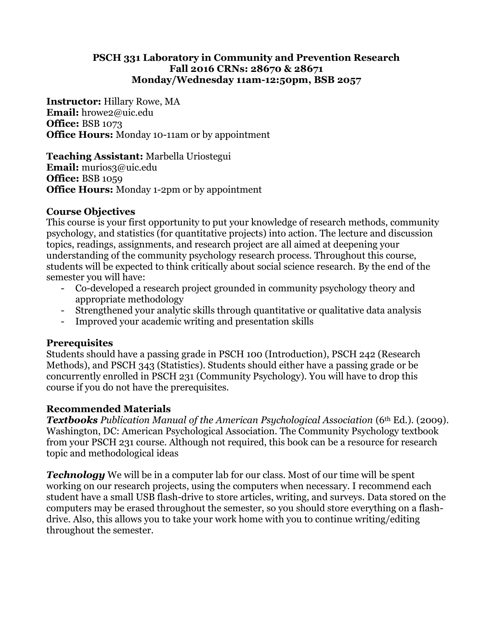#### **PSCH 331 Laboratory in Community and Prevention Research Fall 2016 CRNs: 28670 & 28671 Monday/Wednesday 11am-12:50pm, BSB 2057**

**Instructor:** Hillary Rowe, MA **Email:** hrowe2@uic.edu **Office:** BSB 1073 **Office Hours:** Monday 10-11am or by appointment

**Teaching Assistant:** Marbella Uriostegui **Email:** murios3@uic.edu **Office:** BSB 1059 **Office Hours:** Monday 1-2pm or by appointment

## **Course Objectives**

This course is your first opportunity to put your knowledge of research methods, community psychology, and statistics (for quantitative projects) into action. The lecture and discussion topics, readings, assignments, and research project are all aimed at deepening your understanding of the community psychology research process. Throughout this course, students will be expected to think critically about social science research. By the end of the semester you will have:

- Co-developed a research project grounded in community psychology theory and appropriate methodology
- Strengthened your analytic skills through quantitative or qualitative data analysis
- Improved your academic writing and presentation skills

## **Prerequisites**

Students should have a passing grade in PSCH 100 (Introduction), PSCH 242 (Research Methods), and PSCH 343 (Statistics). Students should either have a passing grade or be concurrently enrolled in PSCH 231 (Community Psychology). You will have to drop this course if you do not have the prerequisites.

## **Recommended Materials**

*Textbooks Publication Manual of the American Psychological Association* (6th Ed.). (2009). Washington, DC: American Psychological Association. The Community Psychology textbook from your PSCH 231 course. Although not required, this book can be a resource for research topic and methodological ideas

*Technology* We will be in a computer lab for our class. Most of our time will be spent working on our research projects, using the computers when necessary. I recommend each student have a small USB flash-drive to store articles, writing, and surveys. Data stored on the computers may be erased throughout the semester, so you should store everything on a flashdrive. Also, this allows you to take your work home with you to continue writing/editing throughout the semester.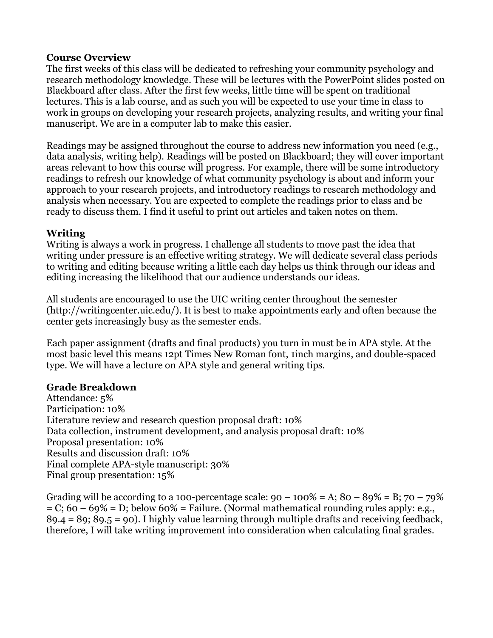#### **Course Overview**

The first weeks of this class will be dedicated to refreshing your community psychology and research methodology knowledge. These will be lectures with the PowerPoint slides posted on Blackboard after class. After the first few weeks, little time will be spent on traditional lectures. This is a lab course, and as such you will be expected to use your time in class to work in groups on developing your research projects, analyzing results, and writing your final manuscript. We are in a computer lab to make this easier.

Readings may be assigned throughout the course to address new information you need (e.g., data analysis, writing help). Readings will be posted on Blackboard; they will cover important areas relevant to how this course will progress. For example, there will be some introductory readings to refresh our knowledge of what community psychology is about and inform your approach to your research projects, and introductory readings to research methodology and analysis when necessary. You are expected to complete the readings prior to class and be ready to discuss them. I find it useful to print out articles and taken notes on them.

## **Writing**

Writing is always a work in progress. I challenge all students to move past the idea that writing under pressure is an effective writing strategy. We will dedicate several class periods to writing and editing because writing a little each day helps us think through our ideas and editing increasing the likelihood that our audience understands our ideas.

All students are encouraged to use the UIC writing center throughout the semester (http://writingcenter.uic.edu/). It is best to make appointments early and often because the center gets increasingly busy as the semester ends.

Each paper assignment (drafts and final products) you turn in must be in APA style. At the most basic level this means 12pt Times New Roman font, 1inch margins, and double-spaced type. We will have a lecture on APA style and general writing tips.

## **Grade Breakdown**

Attendance: 5% Participation: 10% Literature review and research question proposal draft: 10% Data collection, instrument development, and analysis proposal draft: 10% Proposal presentation: 10% Results and discussion draft: 10% Final complete APA-style manuscript: 30% Final group presentation: 15%

Grading will be according to a 100-percentage scale:  $90 - 100\% = A$ ;  $80 - 89\% = B$ ;  $70 - 79\%$  $= C$ ; 60 – 69% = D; below 60% = Failure. (Normal mathematical rounding rules apply: e.g., 89.4 = 89; 89.5 = 90). I highly value learning through multiple drafts and receiving feedback, therefore, I will take writing improvement into consideration when calculating final grades.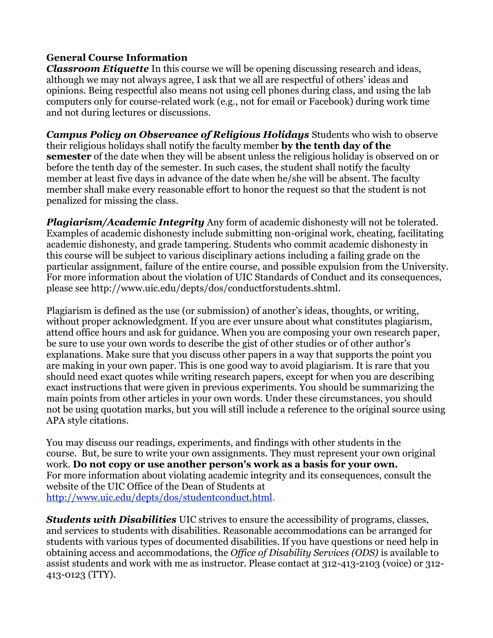## **General Course Information**

*Classroom Etiquette* In this course we will be opening discussing research and ideas, although we may not always agree, I ask that we all are respectful of others' ideas and opinions. Being respectful also means not using cell phones during class, and using the lab computers only for course-related work (e.g., not for email or Facebook) during work time and not during lectures or discussions.

*Campus Policy on Observance of Religious Holidays* Students who wish to observe their religious holidays shall notify the faculty member **by the tenth day of the semester** of the date when they will be absent unless the religious holiday is observed on or before the tenth day of the semester. In such cases, the student shall notify the faculty member at least five days in advance of the date when he/she will be absent. The faculty member shall make every reasonable effort to honor the request so that the student is not penalized for missing the class.

*Plagiarism/Academic Integrity* Any form of academic dishonesty will not be tolerated. Examples of academic dishonesty include submitting non-original work, cheating, facilitating academic dishonesty, and grade tampering. Students who commit academic dishonesty in this course will be subject to various disciplinary actions including a failing grade on the particular assignment, failure of the entire course, and possible expulsion from the University. For more information about the violation of UIC Standards of Conduct and its consequences, please see http://www.uic.edu/depts/dos/conductforstudents.shtml.

Plagiarism is defined as the use (or submission) of another's ideas, thoughts, or writing, without proper acknowledgment. If you are ever unsure about what constitutes plagiarism, attend office hours and ask for guidance. When you are composing your own research paper, be sure to use your own words to describe the gist of other studies or of other author's explanations. Make sure that you discuss other papers in a way that supports the point you are making in your own paper. This is one good way to avoid plagiarism. It is rare that you should need exact quotes while writing research papers, except for when you are describing exact instructions that were given in previous experiments. You should be summarizing the main points from other articles in your own words. Under these circumstances, you should not be using quotation marks, but you will still include a reference to the original source using APA style citations.

You may discuss our readings, experiments, and findings with other students in the course. But, be sure to write your own assignments. They must represent your own original work. **Do not copy or use another person's work as a basis for your own.**  For more information about violating academic integrity and its consequences, consult the website of the UIC Office of the Dean of Students at [http://www.uic.edu/depts/dos/studentconduct.html.](http://www.uic.edu/depts/dos/studentconduct.html)

*Students with Disabilities* UIC strives to ensure the accessibility of programs, classes, and services to students with disabilities. Reasonable accommodations can be arranged for students with various types of documented disabilities. If you have questions or need help in obtaining access and accommodations, the *Office of Disability Services (ODS)* is available to assist students and work with me as instructor. Please contact at 312-413-2103 (voice) or 312- 413-0123 (TTY).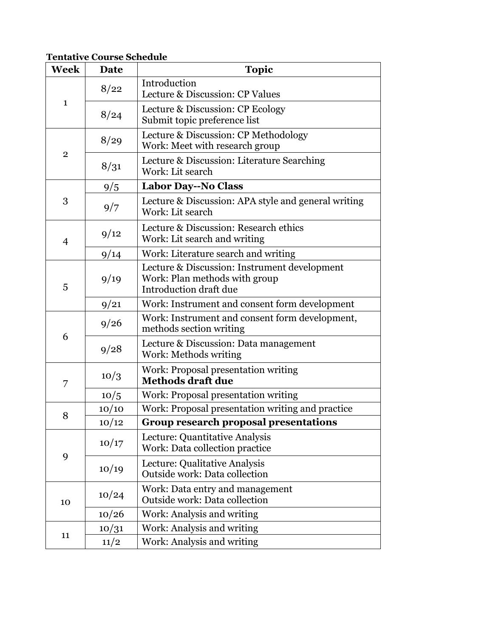**Tentative Course Schedule**

| Week           | Date  | <b>Topic</b>                                                                                            |
|----------------|-------|---------------------------------------------------------------------------------------------------------|
| $\mathbf{1}$   | 8/22  | Introduction<br>Lecture & Discussion: CP Values                                                         |
|                | 8/24  | Lecture & Discussion: CP Ecology<br>Submit topic preference list                                        |
| $\overline{2}$ | 8/29  | Lecture & Discussion: CP Methodology<br>Work: Meet with research group                                  |
|                | 8/31  | Lecture & Discussion: Literature Searching<br>Work: Lit search                                          |
| 3              | 9/5   | <b>Labor Day--No Class</b>                                                                              |
|                | 9/7   | Lecture & Discussion: APA style and general writing<br>Work: Lit search                                 |
| $\overline{4}$ | 9/12  | Lecture & Discussion: Research ethics<br>Work: Lit search and writing                                   |
|                | 9/14  | Work: Literature search and writing                                                                     |
| 5              | 9/19  | Lecture & Discussion: Instrument development<br>Work: Plan methods with group<br>Introduction draft due |
|                | 9/21  | Work: Instrument and consent form development                                                           |
| 6              | 9/26  | Work: Instrument and consent form development,<br>methods section writing                               |
|                | 9/28  | Lecture & Discussion: Data management<br>Work: Methods writing                                          |
| 7              | 10/3  | Work: Proposal presentation writing<br><b>Methods draft due</b>                                         |
|                | 10/5  | Work: Proposal presentation writing                                                                     |
| 8              | 10/10 | Work: Proposal presentation writing and practice                                                        |
|                | 10/12 | <b>Group research proposal presentations</b>                                                            |
| 9              | 10/17 | Lecture: Quantitative Analysis<br>Work: Data collection practice                                        |
|                | 10/19 | Lecture: Qualitative Analysis<br>Outside work: Data collection                                          |
| 10             | 10/24 | Work: Data entry and management<br><b>Outside work: Data collection</b>                                 |
|                | 10/26 | Work: Analysis and writing                                                                              |
| 11             | 10/31 | Work: Analysis and writing                                                                              |
|                | 11/2  | Work: Analysis and writing                                                                              |